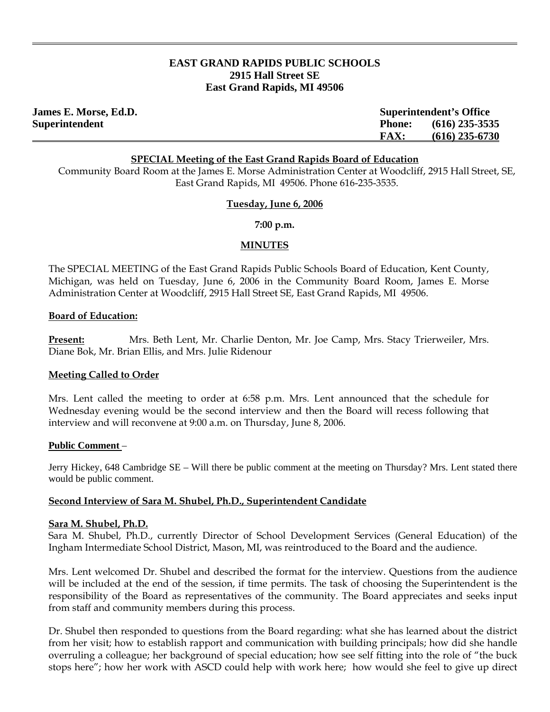# **EAST GRAND RAPIDS PUBLIC SCHOOLS 2915 Hall Street SE East Grand Rapids, MI 49506**

| <b>James E. Morse, Ed.D.</b> |               | <b>Superintendent's Office</b> |  |
|------------------------------|---------------|--------------------------------|--|
| Superintendent               | <b>Phone:</b> | $(616)$ 235-3535               |  |
|                              | <b>FAX:</b>   | $(616)$ 235-6730               |  |

#### **SPECIAL Meeting of the East Grand Rapids Board of Education**

Community Board Room at the James E. Morse Administration Center at Woodcliff, 2915 Hall Street, SE, East Grand Rapids, MI 49506. Phone 616-235-3535.

### **Tuesday, June 6, 2006**

**7:00 p.m.** 

### **MINUTES**

The SPECIAL MEETING of the East Grand Rapids Public Schools Board of Education, Kent County, Michigan, was held on Tuesday, June 6, 2006 in the Community Board Room, James E. Morse Administration Center at Woodcliff, 2915 Hall Street SE, East Grand Rapids, MI 49506.

## **Board of Education:**

**Present:** Mrs. Beth Lent, Mr. Charlie Denton, Mr. Joe Camp, Mrs. Stacy Trierweiler, Mrs. Diane Bok, Mr. Brian Ellis, and Mrs. Julie Ridenour

## **Meeting Called to Order**

Mrs. Lent called the meeting to order at 6:58 p.m. Mrs. Lent announced that the schedule for Wednesday evening would be the second interview and then the Board will recess following that interview and will reconvene at 9:00 a.m. on Thursday, June 8, 2006.

#### **Public Comment** –

Jerry Hickey, 648 Cambridge SE – Will there be public comment at the meeting on Thursday? Mrs. Lent stated there would be public comment.

## **Second Interview of Sara M. Shubel, Ph.D., Superintendent Candidate**

#### **Sara M. Shubel, Ph.D.**

Sara M. Shubel, Ph.D., currently Director of School Development Services (General Education) of the Ingham Intermediate School District, Mason, MI, was reintroduced to the Board and the audience.

Mrs. Lent welcomed Dr. Shubel and described the format for the interview. Questions from the audience will be included at the end of the session, if time permits. The task of choosing the Superintendent is the responsibility of the Board as representatives of the community. The Board appreciates and seeks input from staff and community members during this process.

Dr. Shubel then responded to questions from the Board regarding: what she has learned about the district from her visit; how to establish rapport and communication with building principals; how did she handle overruling a colleague; her background of special education; how see self fitting into the role of "the buck stops here"; how her work with ASCD could help with work here; how would she feel to give up direct